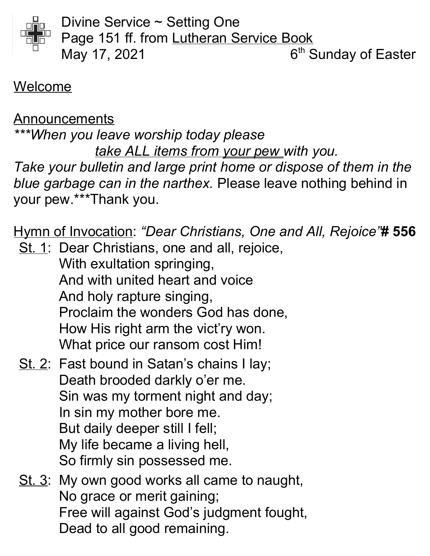

Divine Service ~ Setting One Page 151 ff. from Lutheran Service Book May 17, 2021  $6<sup>th</sup>$  Sunday of Easter

#### Welcome

Announcements \*\*\*When you leave worship today please take ALL items from your pew with you. Take your bulletin and large print home or dispose of them in the blue garbage can in the narthex. Please leave nothing behind in your pew.\*\*\*Thank you.

Hymn of Invocation: "Dear Christians, One and All, Rejoice"# 556

St. 1: Dear Christians, one and all, rejoice, With exultation springing, And with united heart and voice And holy rapture singing, Proclaim the wonders God has done, How His right arm the vict'ry won. What price our ransom cost Him!

- St. 2: Fast bound in Satan's chains I lay; Death brooded darkly o'er me. Sin was my torment night and day; In sin my mother bore me. But daily deeper still I fell; My life became a living hell, So firmly sin possessed me.
- St. 3: My own good works all came to naught, No grace or merit gaining; Free will against God's judgment fought, Dead to all good remaining.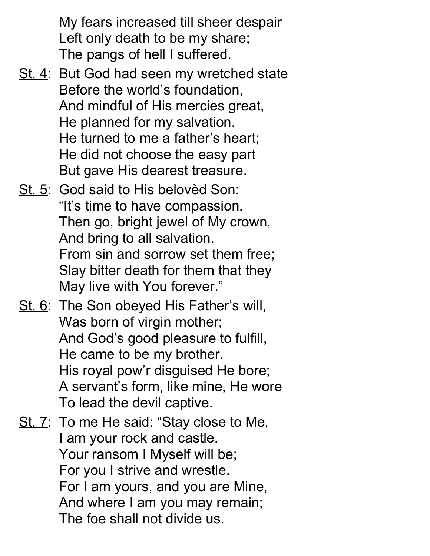My fears increased till sheer despair Left only death to be my share; The pangs of hell I suffered.

- St. 4: But God had seen my wretched state Before the world's foundation, And mindful of His mercies great, He planned for my salvation. He turned to me a father's heart; He did not choose the easy part But gave His dearest treasure.
- St. 5: God said to His belovèd Son: "It's time to have compassion. Then go, bright jewel of My crown, And bring to all salvation. From sin and sorrow set them free; Slay bitter death for them that they May live with You forever."
- St. 6: The Son obeyed His Father's will, Was born of virgin mother; And God's good pleasure to fulfill, He came to be my brother. His royal pow'r disguised He bore; A servant's form, like mine, He wore To lead the devil captive.
- St. 7: To me He said: "Stay close to Me, I am your rock and castle. Your ransom I Myself will be; For you I strive and wrestle. For I am yours, and you are Mine, And where I am you may remain; The foe shall not divide us.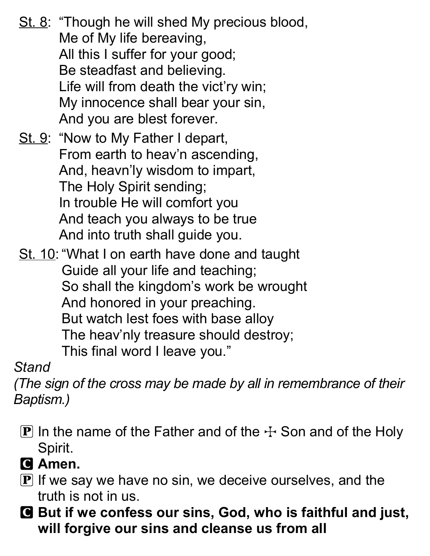St. 8: "Though he will shed My precious blood, Me of My life bereaving, All this I suffer for your good; Be steadfast and believing. Life will from death the vict'ry win; My innocence shall bear your sin, And you are blest forever.

St. 9: "Now to My Father I depart, From earth to heav'n ascending, And, heavn'ly wisdom to impart, The Holy Spirit sending; In trouble He will comfort you And teach you always to be true And into truth shall guide you.

St. 10: "What I on earth have done and taught Guide all your life and teaching; So shall the kingdom's work be wrought And honored in your preaching. But watch lest foes with base alloy The heav'nly treasure should destroy; This final word I leave you."

## Stand

(The sign of the cross may be made by all in remembrance of their Baptism.)

- **P** In the name of the Father and of the  $\pm$  Son and of the Holy Spirit.
- C Amen.
- $\mathbf P$  If we say we have no sin, we deceive ourselves, and the truth is not in us.
- C But if we confess our sins, God, who is faithful and just, will forgive our sins and cleanse us from all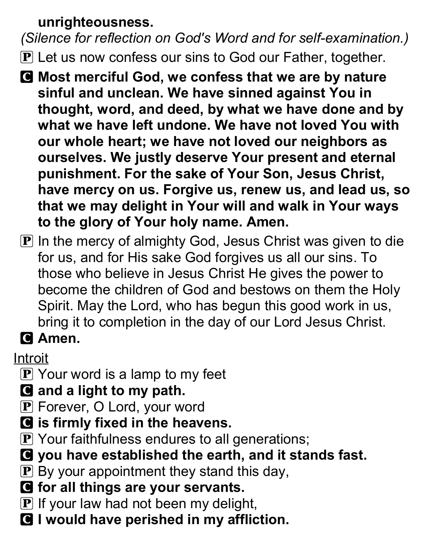#### unrighteousness.

(Silence for reflection on God's Word and for self-examination.)

- $\bf{P}$  Let us now confess our sins to God our Father, together.
- C Most merciful God, we confess that we are by nature sinful and unclean. We have sinned against You in thought, word, and deed, by what we have done and by what we have left undone. We have not loved You with our whole heart; we have not loved our neighbors as ourselves. We justly deserve Your present and eternal punishment. For the sake of Your Son, Jesus Christ, have mercy on us. Forgive us, renew us, and lead us, so that we may delight in Your will and walk in Your ways to the glory of Your holy name. Amen.
- $\mathbf P$  In the mercy of almighty God, Jesus Christ was given to die for us, and for His sake God forgives us all our sins. To those who believe in Jesus Christ He gives the power to become the children of God and bestows on them the Holy Spirit. May the Lord, who has begun this good work in us, bring it to completion in the day of our Lord Jesus Christ.

# **Q** Amen.

## Introit

- $\boxed{\mathbf{P}}$  Your word is a lamp to my feet
- **Q** and a light to my path.
- P Forever, O Lord, your word
- **G** is firmly fixed in the heavens.
- **P** Your faithfulness endures to all generations;
- C you have established the earth, and it stands fast.
- $\mathbf{P}$  By your appointment they stand this day,
- C for all things are your servants.
- $\bf{P}$  If your law had not been my delight,
- **C** I would have perished in my affliction.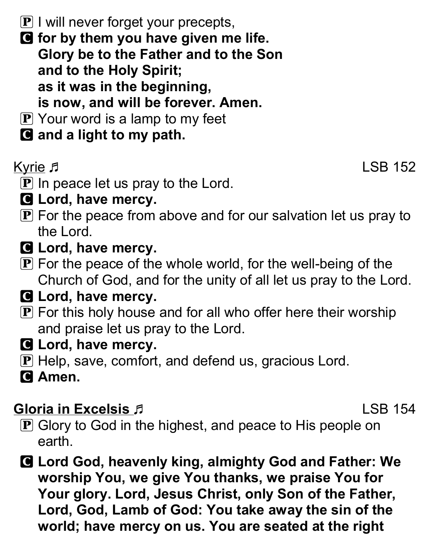- $\mathbf{P}$  I will never forget your precepts,
- G for by them you have given me life. Glory be to the Father and to the Son and to the Holy Spirit; as it was in the beginning, is now, and will be forever. Amen.
- $\boxed{\mathbf{P}}$  Your word is a lamp to my feet
- **G** and a light to my path.

Kyrie 5 and 152

- $\mathbf P$  In peace let us pray to the Lord.
- **G** Lord, have mercy.
- $\mathbf P$  For the peace from above and for our salvation let us pray to the Lord.
- **G** Lord, have mercy.
- $\mathbf P$  For the peace of the whole world, for the well-being of the Church of God, and for the unity of all let us pray to the Lord.
- **G** Lord, have mercy.
- $\bf{P}$  For this holy house and for all who offer here their worship and praise let us pray to the Lord.
- **G** Lord, have mercy.
- **P** Help, save, comfort, and defend us, gracious Lord.
- **G** Amen.

# Gloria in Excelsis J. New York 158, 154

- P Glory to God in the highest, and peace to His people on earth.
- C Lord God, heavenly king, almighty God and Father: We worship You, we give You thanks, we praise You for Your glory. Lord, Jesus Christ, only Son of the Father, Lord, God, Lamb of God: You take away the sin of the world; have mercy on us. You are seated at the right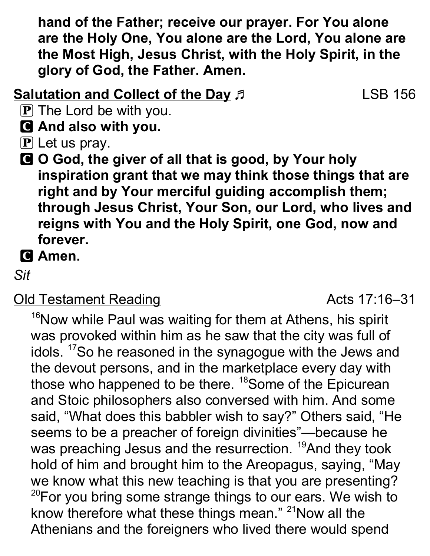hand of the Father; receive our prayer. For You alone are the Holy One, You alone are the Lord, You alone are the Most High, Jesus Christ, with the Holy Spirit, in the glory of God, the Father. Amen.

#### Salutation and Collect of the Day  $\beta$  LSB 156

- $\mathbf{P}$  The Lord be with you.
- C And also with you.
- $\mathbf P$  Let us pray.
- C O God, the giver of all that is good, by Your holy inspiration grant that we may think those things that are right and by Your merciful guiding accomplish them; through Jesus Christ, Your Son, our Lord, who lives and reigns with You and the Holy Spirit, one God, now and forever.
- **G** Amen.

Sit

# Old Testament Reading and Testament Reading and Testament Reading

<sup>16</sup>Now while Paul was waiting for them at Athens, his spirit was provoked within him as he saw that the city was full of idols. <sup>17</sup>So he reasoned in the synagogue with the Jews and the devout persons, and in the marketplace every day with those who happened to be there. <sup>18</sup>Some of the Epicurean and Stoic philosophers also conversed with him. And some said, "What does this babbler wish to say?" Others said, "He seems to be a preacher of foreign divinities"—because he was preaching Jesus and the resurrection. <sup>19</sup>And they took hold of him and brought him to the Areopagus, saying, "May we know what this new teaching is that you are presenting?  $20$ For you bring some strange things to our ears. We wish to know therefore what these things mean."  $21$ Now all the Athenians and the foreigners who lived there would spend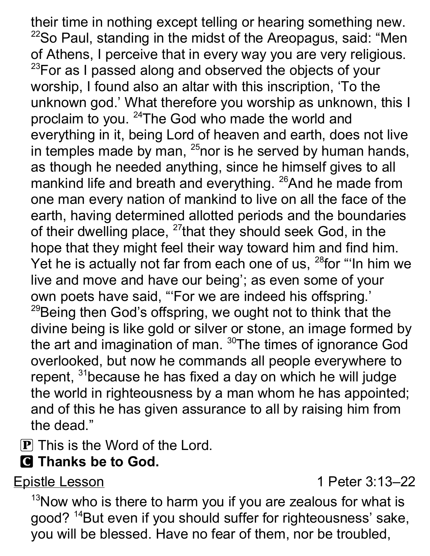their time in nothing except telling or hearing something new.  $22$ So Paul, standing in the midst of the Areopagus, said: "Men of Athens, I perceive that in every way you are very religious.  $23$ For as I passed along and observed the objects of your worship, I found also an altar with this inscription, 'To the unknown god.' What therefore you worship as unknown, this I proclaim to you. <sup>24</sup>The God who made the world and everything in it, being Lord of heaven and earth, does not live in temples made by man,  $^{25}$ nor is he served by human hands, as though he needed anything, since he himself gives to all mankind life and breath and everything. <sup>26</sup>And he made from one man every nation of mankind to live on all the face of the earth, having determined allotted periods and the boundaries of their dwelling place, <sup>27</sup>that they should seek God, in the hope that they might feel their way toward him and find him. Yet he is actually not far from each one of us,  $28$  for "In him we live and move and have our being'; as even some of your own poets have said, "'For we are indeed his offspring.'  $29$ Being then God's offspring, we ought not to think that the divine being is like gold or silver or stone, an image formed by the art and imagination of man. <sup>30</sup>The times of ignorance God overlooked, but now he commands all people everywhere to repent, <sup>31</sup>because he has fixed a day on which he will judge the world in righteousness by a man whom he has appointed; and of this he has given assurance to all by raising him from the dead."

P This is the Word of the Lord.

# **G** Thanks be to God.

Epistle Lesson 1 Peter 3:13–22

 $13$ Now who is there to harm you if you are zealous for what is good?<sup>14</sup>But even if you should suffer for righteousness' sake, you will be blessed. Have no fear of them, nor be troubled,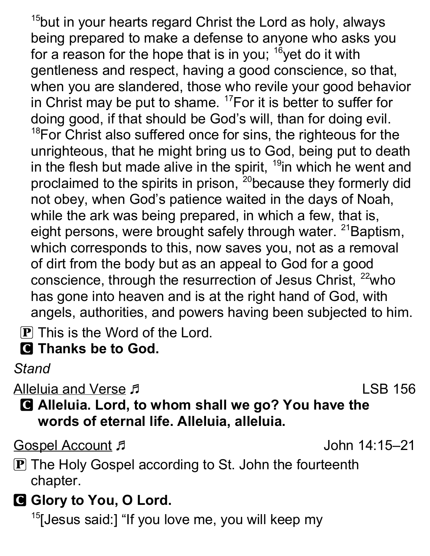<sup>15</sup>but in your hearts regard Christ the Lord as holy, always being prepared to make a defense to anyone who asks you for a reason for the hope that is in you;  $16$  yet do it with gentleness and respect, having a good conscience, so that, when you are slandered, those who revile your good behavior in Christ may be put to shame.  $17$  For it is better to suffer for doing good, if that should be God's will, than for doing evil.  $18$ For Christ also suffered once for sins, the righteous for the unrighteous, that he might bring us to God, being put to death in the flesh but made alive in the spirit, <sup>19</sup>in which he went and proclaimed to the spirits in prison, <sup>20</sup>because they formerly did not obey, when God's patience waited in the days of Noah, while the ark was being prepared, in which a few, that is, eight persons, were brought safely through water. <sup>21</sup>Baptism, which corresponds to this, now saves you, not as a removal of dirt from the body but as an appeal to God for a good conscience, through the resurrection of Jesus Christ, <sup>22</sup>who has gone into heaven and is at the right hand of God, with angels, authorities, and powers having been subjected to him.

 $\bf{P}$  This is the Word of the Lord.

C Thanks be to God.

Stand

Alleluia and Verse J. New York 1988 156

C Alleluia. Lord, to whom shall we go? You have the words of eternal life. Alleluia, alleluia.

Gospel Account John 14:15–21

**P** The Holy Gospel according to St. John the fourteenth chapter.

G Glory to You, O Lord.

 $15$ [Jesus said:] "If you love me, you will keep my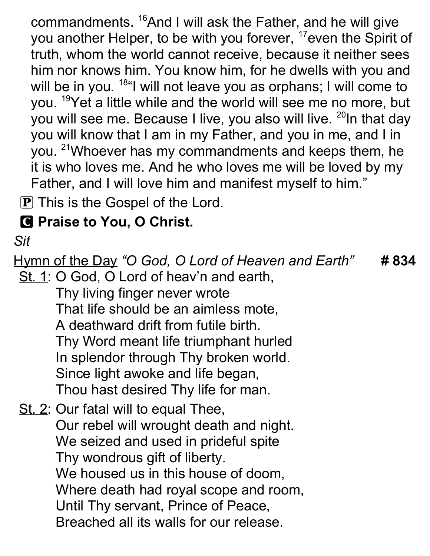commandments. <sup>16</sup>And I will ask the Father, and he will give you another Helper, to be with you forever, <sup>17</sup>even the Spirit of truth, whom the world cannot receive, because it neither sees him nor knows him. You know him, for he dwells with you and will be in you. <sup>18"</sup>I will not leave you as orphans; I will come to you. <sup>19</sup>Yet a little while and the world will see me no more, but you will see me. Because I live, you also will live. <sup>20</sup>In that day you will know that I am in my Father, and you in me, and I in you. <sup>21</sup>Whoever has my commandments and keeps them, he it is who loves me. And he who loves me will be loved by my Father, and I will love him and manifest myself to him."

**P** This is the Gospel of the Lord.

# **C** Praise to You, O Christ.

#### Sit

Hymn of the Day "O God, O Lord of Heaven and Earth" # 834 St. 1: O God, O Lord of heav'n and earth, Thy living finger never wrote That life should be an aimless mote, A deathward drift from futile birth. Thy Word meant life triumphant hurled In splendor through Thy broken world. Since light awoke and life began, Thou hast desired Thy life for man. St. 2: Our fatal will to equal Thee, Our rebel will wrought death and night. We seized and used in prideful spite Thy wondrous gift of liberty. We housed us in this house of doom, Where death had royal scope and room, Until Thy servant, Prince of Peace, Breached all its walls for our release.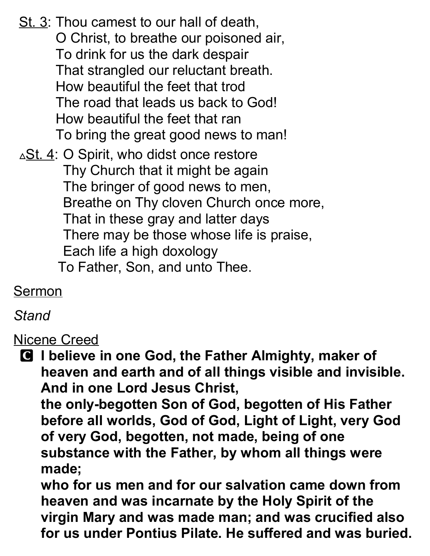St. 3: Thou camest to our hall of death, O Christ, to breathe our poisoned air, To drink for us the dark despair That strangled our reluctant breath. How beautiful the feet that trod The road that leads us back to God! How beautiful the feet that ran To bring the great good news to man!  $\triangle$ St. 4: O Spirit, who didst once restore Thy Church that it might be again The bringer of good news to men, Breathe on Thy cloven Church once more, That in these gray and latter days There may be those whose life is praise,

Each life a high doxology

To Father, Son, and unto Thee.

Sermon

#### **Stand**

Nicene Creed

**Q** I believe in one God, the Father Almighty, maker of heaven and earth and of all things visible and invisible. And in one Lord Jesus Christ,

the only-begotten Son of God, begotten of His Father before all worlds, God of God, Light of Light, very God of very God, begotten, not made, being of one substance with the Father, by whom all things were made;

who for us men and for our salvation came down from heaven and was incarnate by the Holy Spirit of the virgin Mary and was made man; and was crucified also for us under Pontius Pilate. He suffered and was buried.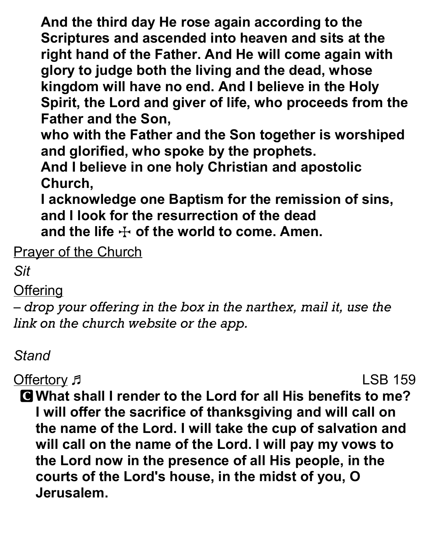And the third day He rose again according to the Scriptures and ascended into heaven and sits at the right hand of the Father. And He will come again with glory to judge both the living and the dead, whose kingdom will have no end. And I believe in the Holy Spirit, the Lord and giver of life, who proceeds from the Father and the Son,

who with the Father and the Son together is worshiped and glorified, who spoke by the prophets.

And I believe in one holy Christian and apostolic Church,

I acknowledge one Baptism for the remission of sins, and I look for the resurrection of the dead and the life  $\pm$  of the world to come. Amen.

**Prayer of the Church** 

Sit

**Offering** 

– drop your offering in the box in the narthex, mail it, use the link on the church website or the app.

# Stand

Offertory Fig. 2015 159

C What shall I render to the Lord for all His benefits to me? I will offer the sacrifice of thanksgiving and will call on the name of the Lord. I will take the cup of salvation and will call on the name of the Lord. I will pay my vows to the Lord now in the presence of all His people, in the courts of the Lord's house, in the midst of you, O Jerusalem.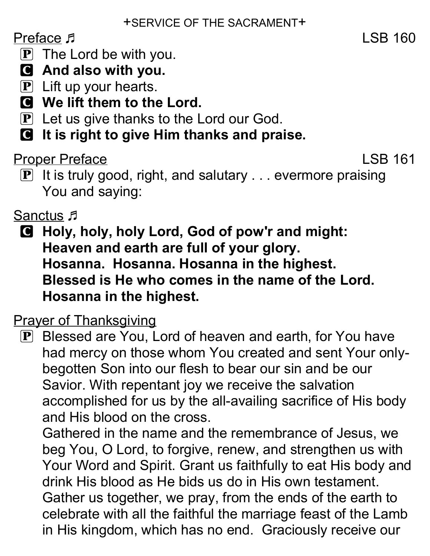## Preface  $\sqrt{5}$  LSB 160

- $\mathbf{P}$  The Lord be with you.
- C And also with you.
- $\mathbf{P}$  Lift up your hearts.
- C We lift them to the Lord.
- $\mathbf{P}$  Let us give thanks to the Lord our God.
- C It is right to give Him thanks and praise.

#### Proper Preface LSB 161

P It is truly good, right, and salutary . . . evermore praising You and saying:

## Sanctus F

C Holy, holy, holy Lord, God of pow'r and might: Heaven and earth are full of your glory. Hosanna. Hosanna. Hosanna in the highest. Blessed is He who comes in the name of the Lord. Hosanna in the highest.

#### **Prayer of Thanksgiving**

P Blessed are You, Lord of heaven and earth, for You have had mercy on those whom You created and sent Your onlybegotten Son into our flesh to bear our sin and be our Savior. With repentant joy we receive the salvation accomplished for us by the all-availing sacrifice of His body and His blood on the cross.

Gathered in the name and the remembrance of Jesus, we beg You, O Lord, to forgive, renew, and strengthen us with Your Word and Spirit. Grant us faithfully to eat His body and drink His blood as He bids us do in His own testament. Gather us together, we pray, from the ends of the earth to celebrate with all the faithful the marriage feast of the Lamb in His kingdom, which has no end. Graciously receive our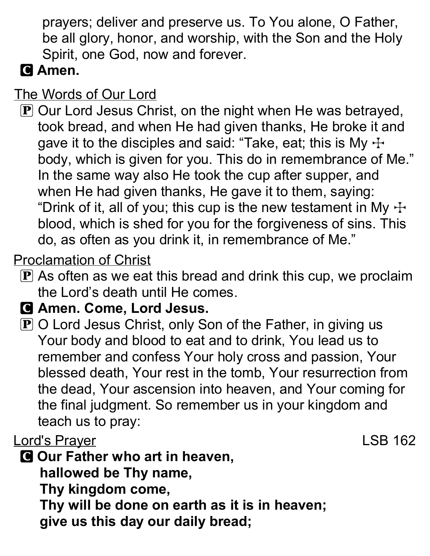prayers; deliver and preserve us. To You alone, O Father, be all glory, honor, and worship, with the Son and the Holy Spirit, one God, now and forever.

# C Amen.

## The Words of Our Lord

P Our Lord Jesus Christ, on the night when He was betrayed, took bread, and when He had given thanks, He broke it and gave it to the disciples and said: "Take, eat; this is My  $\pm$ body, which is given for you. This do in remembrance of Me." In the same way also He took the cup after supper, and when He had given thanks, He gave it to them, saying: "Drink of it, all of you; this cup is the new testament in My  $\pm$ blood, which is shed for you for the forgiveness of sins. This do, as often as you drink it, in remembrance of Me."

# Proclamation of Christ

 $\bf{P}$  As often as we eat this bread and drink this cup, we proclaim the Lord's death until He comes.

#### C Amen. Come, Lord Jesus.

 $\mathbf P$  O Lord Jesus Christ, only Son of the Father, in giving us Your body and blood to eat and to drink, You lead us to remember and confess Your holy cross and passion, Your blessed death, Your rest in the tomb, Your resurrection from the dead, Your ascension into heaven, and Your coming for the final judgment. So remember us in your kingdom and teach us to pray:

## Lord's Prayer **Lord's Prayer LSB 162**

**C** Our Father who art in heaven, hallowed be Thy name, Thy kingdom come, Thy will be done on earth as it is in heaven; give us this day our daily bread;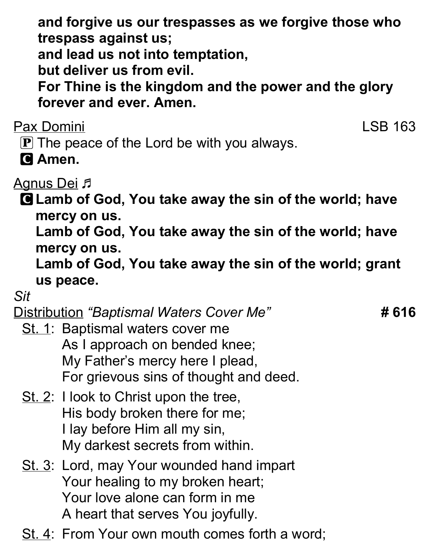and forgive us our trespasses as we forgive those who trespass against us;

and lead us not into temptation,

but deliver us from evil.

For Thine is the kingdom and the power and the glory forever and ever. Amen.

Pax Domini LSB 163

 $\mathbf P$  The peace of the Lord be with you always.

**C** Amen.

**Agnus Dei <sub>J</sub>** 

C Lamb of God, You take away the sin of the world; have mercy on us.

Lamb of God, You take away the sin of the world; have mercy on us.

Lamb of God, You take away the sin of the world; grant us peace.

Sit

Distribution "Baptismal Waters Cover Me" **#616** 

- St. 1: Baptismal waters cover me As I approach on bended knee; My Father's mercy here I plead, For grievous sins of thought and deed.
- St. 2: I look to Christ upon the tree, His body broken there for me; I lay before Him all my sin, My darkest secrets from within.
- St. 3: Lord, may Your wounded hand impart Your healing to my broken heart; Your love alone can form in me A heart that serves You joyfully.
- St. 4: From Your own mouth comes forth a word;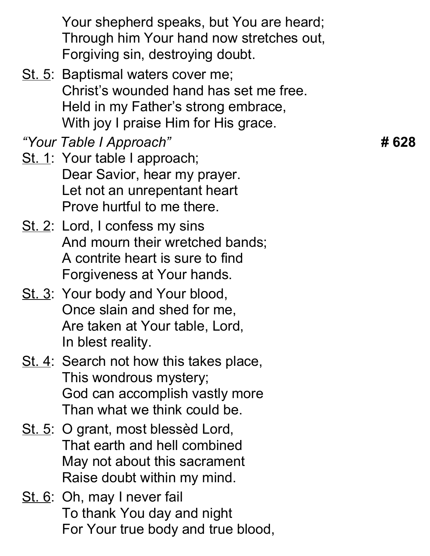Your shepherd speaks, but You are heard; Through him Your hand now stretches out, Forgiving sin, destroying doubt.

St. 5: Baptismal waters cover me; Christ's wounded hand has set me free. Held in my Father's strong embrace, With joy I praise Him for His grace.

"Your Table I Approach" **#628** 

- St. 1: Your table I approach; Dear Savior, hear my prayer. Let not an unrepentant heart Prove hurtful to me there.
- St. 2: Lord, I confess my sins And mourn their wretched bands; A contrite heart is sure to find Forgiveness at Your hands.
- St. 3: Your body and Your blood, Once slain and shed for me, Are taken at Your table, Lord, In blest reality.
- St. 4: Search not how this takes place, This wondrous mystery; God can accomplish vastly more Than what we think could be.
- St. 5: O grant, most blessèd Lord, That earth and hell combined May not about this sacrament Raise doubt within my mind.
- St. 6: Oh, may I never fail To thank You day and night For Your true body and true blood,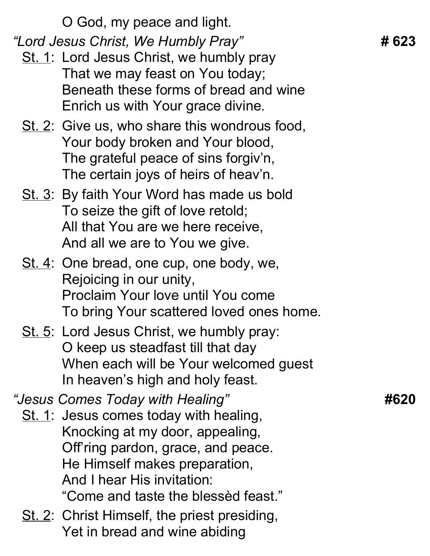O God, my peace and light. "Lord Jesus Christ, We Humbly Pray" # **623** St. 1: Lord Jesus Christ, we humbly pray That we may feast on You today; Beneath these forms of bread and wine Enrich us with Your grace divine. St. 2: Give us, who share this wondrous food, Your body broken and Your blood, The grateful peace of sins forgiv'n, The certain joys of heirs of heav'n. St. 3: By faith Your Word has made us bold To seize the gift of love retold; All that You are we here receive, And all we are to You we give. St. 4: One bread, one cup, one body, we, Rejoicing in our unity, Proclaim Your love until You come To bring Your scattered loved ones home. St. 5: Lord Jesus Christ, we humbly pray: O keep us steadfast till that day When each will be Your welcomed guest In heaven's high and holy feast. "Jesus Comes Today with Healing" #620 St. 1: Jesus comes today with healing, Knocking at my door, appealing, Off'ring pardon, grace, and peace. He Himself makes preparation, And I hear His invitation: "Come and taste the blessèd feast." St. 2: Christ Himself, the priest presiding, Yet in bread and wine abiding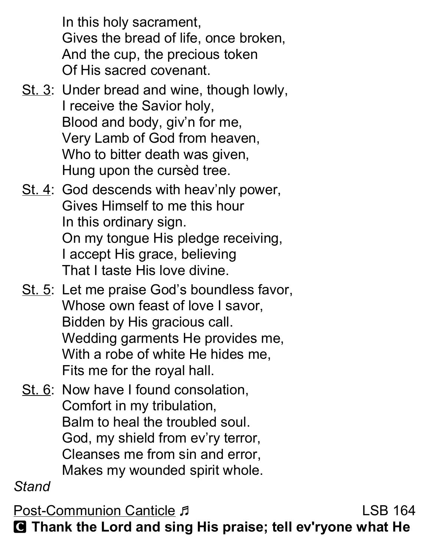In this holy sacrament, Gives the bread of life, once broken, And the cup, the precious token Of His sacred covenant.

- St. 3: Under bread and wine, though lowly, I receive the Savior holy, Blood and body, giv'n for me, Very Lamb of God from heaven, Who to bitter death was given, Hung upon the cursèd tree.
- St. 4: God descends with heav'nly power, Gives Himself to me this hour In this ordinary sign. On my tongue His pledge receiving, I accept His grace, believing That I taste His love divine.
- St. 5: Let me praise God's boundless favor, Whose own feast of love I savor, Bidden by His gracious call. Wedding garments He provides me, With a robe of white He hides me, Fits me for the royal hall.
- St. 6: Now have I found consolation, Comfort in my tribulation, Balm to heal the troubled soul. God, my shield from ev'ry terror, Cleanses me from sin and error, Makes my wounded spirit whole.

Stand

Post-Communion Canticle F C Thank the Lord and sing His praise; tell ev'ryone what He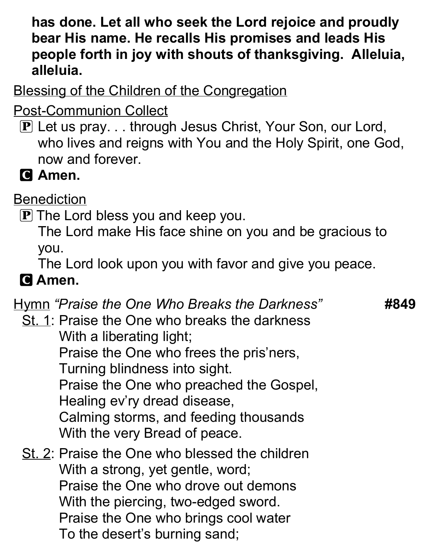#### has done. Let all who seek the Lord rejoice and proudly bear His name. He recalls His promises and leads His people forth in joy with shouts of thanksgiving. Alleluia, alleluia.

Blessing of the Children of the Congregation

Post-Communion Collect

P Let us pray. . . through Jesus Christ, Your Son, our Lord, who lives and reigns with You and the Holy Spirit, one God, now and forever.

**C** Amen.

**Benediction** 

 $\bf{P}$  The Lord bless you and keep you.

The Lord make His face shine on you and be gracious to you.

The Lord look upon you with favor and give you peace.

# **G** Amen.

#### Hymn "Praise the One Who Breaks the Darkness" **#849**

St. 1: Praise the One who breaks the darkness With a liberating light; Praise the One who frees the pris'ners, Turning blindness into sight. Praise the One who preached the Gospel, Healing ev'ry dread disease, Calming storms, and feeding thousands With the very Bread of peace.

St. 2: Praise the One who blessed the children With a strong, yet gentle, word; Praise the One who drove out demons With the piercing, two-edged sword. Praise the One who brings cool water To the desert's burning sand;